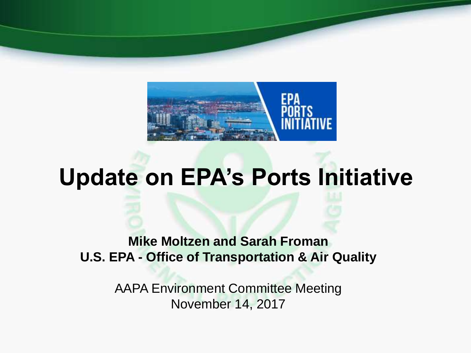

# **Update on EPA's Ports Initiative**

**Mike Moltzen and Sarah Froman U.S. EPA - Office of Transportation & Air Quality** 

> AAPA Environment Committee Meeting November 14, 2017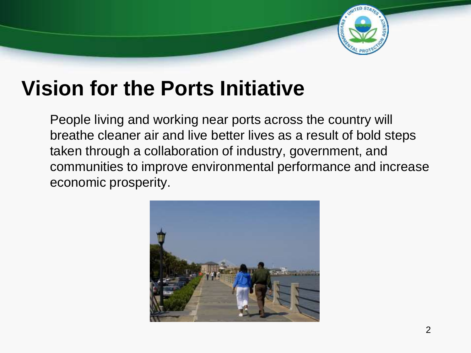

## **Vision for the Ports Initiative**

People living and working near ports across the country will breathe cleaner air and live better lives as a result of bold steps taken through a collaboration of industry, government, and communities to improve environmental performance and increase economic prosperity.

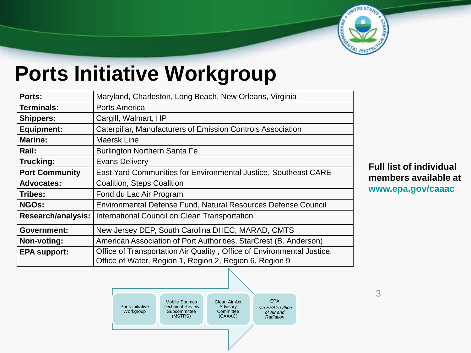

## **Ports Initiative Workgroup**

| Ports:                | Maryland, Charleston, Long Beach, New Orleans, Virginia                |
|-----------------------|------------------------------------------------------------------------|
| <b>Terminals:</b>     | <b>Ports America</b>                                                   |
| <b>Shippers:</b>      | Cargill, Walmart, HP                                                   |
| <b>Equipment:</b>     | Caterpillar, Manufacturers of Emission Controls Association            |
| <b>Marine:</b>        | Maersk Line                                                            |
| Rail:                 | <b>Burlington Northern Santa Fe</b>                                    |
| Trucking:             | <b>Evans Delivery</b>                                                  |
| <b>Port Community</b> | East Yard Communities for Environmental Justice, Southeast CARE        |
| <b>Advocates:</b>     | <b>Coalition, Steps Coalition</b>                                      |
| Tribes:               | Fond du Lac Air Program                                                |
| <b>NGOs:</b>          | Environmental Defense Fund, Natural Resources Defense Council          |
| Research/analysis:    | International Council on Clean Transportation                          |
| <b>Government:</b>    | New Jersey DEP, South Carolina DHEC, MARAD, CMTS                       |
| Non-voting:           | American Association of Port Authorities, StarCrest (B. Anderson)      |
| <b>EPA support:</b>   | Office of Transportation Air Quality, Office of Environmental Justice, |
|                       | Office of Water, Region 1, Region 2, Region 6, Region 9                |

**Full list of individual members available at [www.epa.gov/caaac](http://www.epa.gov/caaac)**

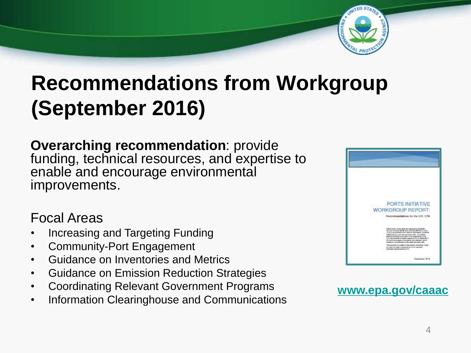

## **Recommendations from Workgroup (September 2016)**

**Overarching recommendation**: provide funding, technical resources, and expertise to enable and encourage environmental improvements.

#### Focal Areas

- Increasing and Targeting Funding
- Community-Port Engagement
- Guidance on Inventories and Metrics
- Guidance on Emission Reduction Strategies
- Coordinating Relevant Government Programs
- Information Clearinghouse and Communications



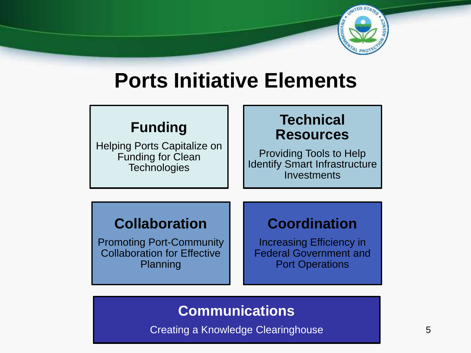

## **Ports Initiative Elements**

#### **Funding**

Helping Ports Capitalize on Funding for Clean **Technologies** 

#### **Technical Resources**

Providing Tools to Help Identify Smart Infrastructure **Investments** 

#### **Collaboration**

Promoting Port-Community Collaboration for Effective Planning

#### **Coordination**

Increasing Efficiency in Federal Government and Port Operations

#### **Communications**

Creating a Knowledge Clearinghouse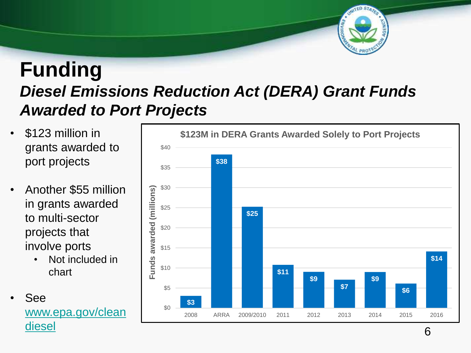

#### **Funding** *Diesel Emissions Reduction Act (DERA) Grant Funds Awarded to Port Projects*

- grants awarded to port projects
- Another \$55 million in grants awarded to multi-sector projects that involve ports
	- Not included in chart





6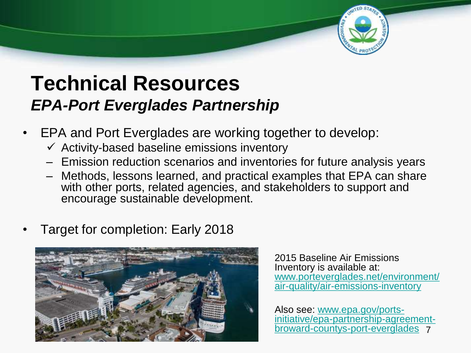

#### **Technical Resources** *EPA-Port Everglades Partnership*

- EPA and Port Everglades are working together to develop:
	- $\checkmark$  Activity-based baseline emissions inventory
	- Emission reduction scenarios and inventories for future analysis years
	- Methods, lessons learned, and practical examples that EPA can share with other ports, related agencies, and stakeholders to support and encourage sustainable development.
- Target for completion: Early 2018



2015 Baseline Air Emissions Inventory is available at: [www.porteverglades.net/environment/](http://www.porteverglades.net/environment/air-quality/air-emissions-inventory) air-quality/air-emissions-inventory

7 broward-countys-port-evergladesAlso see: www.epa.gov/ports[initiative/epa-partnership-agreement-](http://www.epa.gov/ports-initiative/epa-partnership-agreement-broward-countys-port-everglades)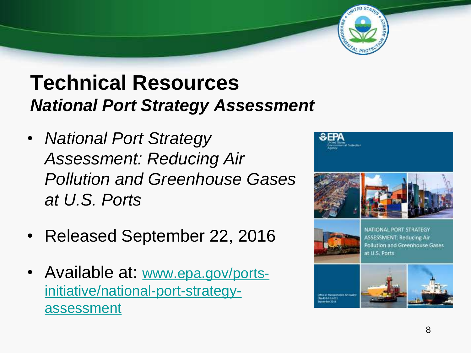## **Technical Resources** *National Port Strategy Assessment*

- *National Port Strategy Assessment: Reducing Air Pollution and Greenhouse Gases at U.S. Ports*
- Released September 22, 2016
- Available at: www.epa.gov/ports[initiative/national-port-strategy](http://www.epa.gov/ports-initiative/national-port-strategy-assessment)assessment







**Pollution and Greenhouse Gases** at U.S. Ports



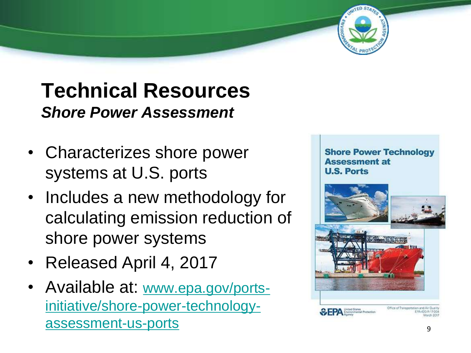## **Technical Resources** *Shore Power Assessment*

- Characterizes shore power systems at U.S. ports
- Includes a new methodology for calculating emission reduction of shore power systems
- Released April 4, 2017
- Available at: [www.epa.gov/ports](http://www.epa.gov/ports-initiative/shore-power-technology-assessment-us-ports)initiative/shore-power-technologyassessment -us -ports

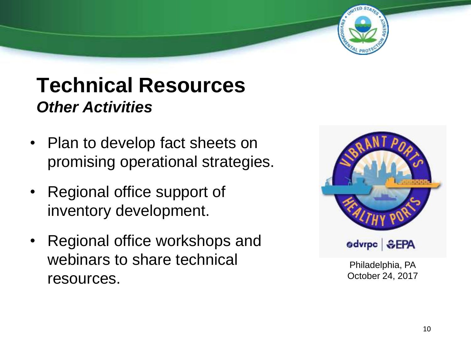### **Technical Resources** *Other Activities*

- Plan to develop fact sheets on promising operational strategies.
- Regional office support of inventory development.
- Regional office workshops and webinars to share technical resources.



Philadelphia, PA October 24, 2017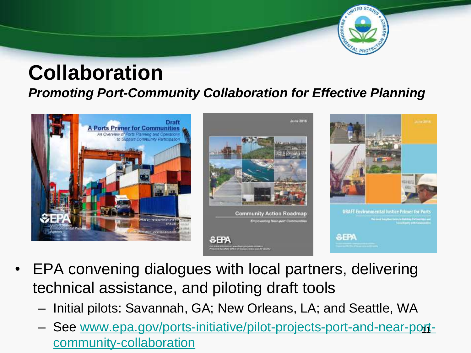

#### **Collaboration** *Promoting Port-Community Collaboration for Effective Planning*



- EPA convening dialogues with local partners, delivering technical assistance, and piloting draft tools
	- Initial pilots: Savannah, GA; New Orleans, LA; and Seattle, WA
	- [See www.epa.gov/ports-initiative/pilot-projects-port-and-near-port](http://www.epa.gov/ports-initiative/pilot-projects-port-and-near-port-community-collaboration)community-collaboration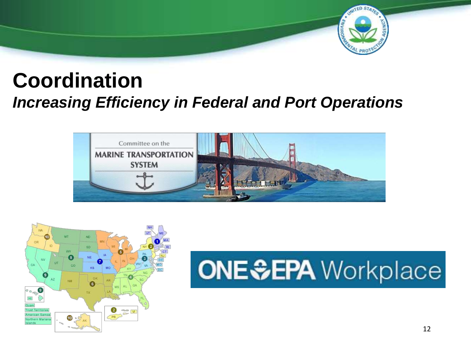

#### **Coordination**  *Increasing Efficiency in Federal and Port Operations*





# **ONE SEPA** Workplace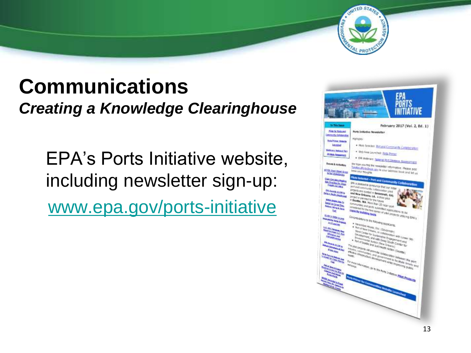

### **Communications** *Creating a Knowledge Clearinghouse*

EPA's Ports Initiative website, including newsletter sign-up: [www.epa.gov/ports-initiative](http://www.epa.gov/ports-initiative)